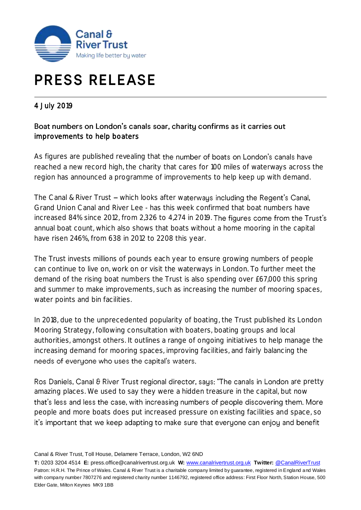

# **PRESS RELEASE**

# 4 July 2019

# Boat numbers on London's canals soar, charity confirms as it carries out improvements to help boaters

As figures are published revealing that the number of boats on London's canals have reached a new record high, the charity that cares for 100 miles of waterways across the region has announced a programme of improvements to help keep up with demand.

The Canal & River Trust - which looks after waterways including the Regent's Canal, Grand Union Canal and River Lee - has this week confirmed that boat numbers have increased 84% since 2012, from 2,326 to 4,274 in 2019. The figures come from the Trust's annual boat count, which also shows that boats without a home mooring in the capital have risen 246%, from 638 in 2012 to 2208 this year.

The Trust invests millions of pounds each year to ensure growing numbers of people can continue to live on, work on or visit the waterways in London. To further meet the demand of the rising boat numbers the Trust is also spending over £67,000 this spring and summer to make improvements, such as increasing the number of mooring spaces, water points and bin facilities.

In 2018, due to the unprecedented popularity of boating, the Trust published its London Mooring Strategy, following consultation with boaters, boating groups and local authorities, amongst others. It outlines a range of ongoing initiatives to help manage the increasing demand for mooring spaces, improving facilities, and fairly balancing the needs of everyone who uses the capital's waters.

Ros Daniels, Canal & River Trust regional director, says: "The canals in London are pretty amazing places. We used to say they were a hidden treasure in the capital, but now that's less and less the case, with increasing numbers of people discovering them. More people and more boats does put increased pressure on existing facilities and space, so it's important that we keep adapting to make sure that everyone can enjoy and benefit

Canal & River Trust, Toll House, Delamere Terrace, London, W2 6ND

**T:** 0203 3204 4514 **E:** press.office@canalrivertrust.org.uk **W:** [www.canalrivertrust.org.uk](http://www.canalrivertrust.org.uk/) **Twitter:** [@CanalRiverTrust](https://twitter.com/CanalRiverTrust) Patron: H.R.H. The Prince of Wales. Canal & River Trust is a charitable company limited by guarantee, registered in England and Wales with company number 7807276 and registered charity number 1146792, registered office address: First Floor North, Station House, 500 Elder Gate, Milton Keynes MK9 1BB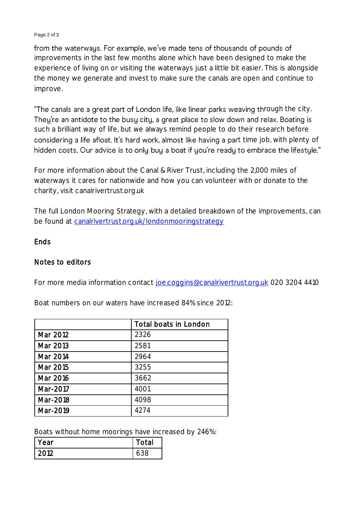#### Page 2 of 3

from the waterways. For example, we've made tens of thousands of pounds of improvements in the last few months alone which have been designed to make the experience of living on or visiting the waterways just a little bit easier. This is alongside the money we generate and invest to make sure the canals are open and continue to improve.

"The canals are a great part of London life, like linear parks weaving through the city. They're an antidote to the busy city, a great place to slow down and relax. Boating is such a brilliant way of life, but we always remind people to do their research before considering a life afloat. It's hard work, almost like having a part time job, with plenty of hidden costs. Our advice is to only buy a boat if you're ready to embrace the lifestyle."

For more information about the Canal & River Trust, including the 2,000 miles of waterways it cares for nationwide and how you can volunteer with or donate to the charity, visit canalrivertrust.org.uk

The full London Mooring Strategy, with a detailed breakdown of the improvements, can be found at [canalrivertrust.org.uk/londonmooringstrategy](https://canalrivertrust.org.uk/londonmooringstrategy)

## **Ends**

## Notes to editors

For more media information contact [joe.coggins@canalrivertrust.org.uk](mailto:joe.coggins@canalrivertrust.org.uk) 020 3204 4410

Boat numbers on our waters have increased 84% since 2012:

|          | Total boats in London |
|----------|-----------------------|
| Mar 2012 | 2326                  |
| Mar 2013 | 2581                  |
| Mar 2014 | 2964                  |
| Mar 2015 | 3255                  |
| Mar 2016 | 3662                  |
| Mar-2017 | 4001                  |
| Mar-2018 | 4098                  |
| Mar-2019 | 4274                  |

Boats without home moorings have increased by 246%:

| Year | Total |
|------|-------|
| റവറ  |       |